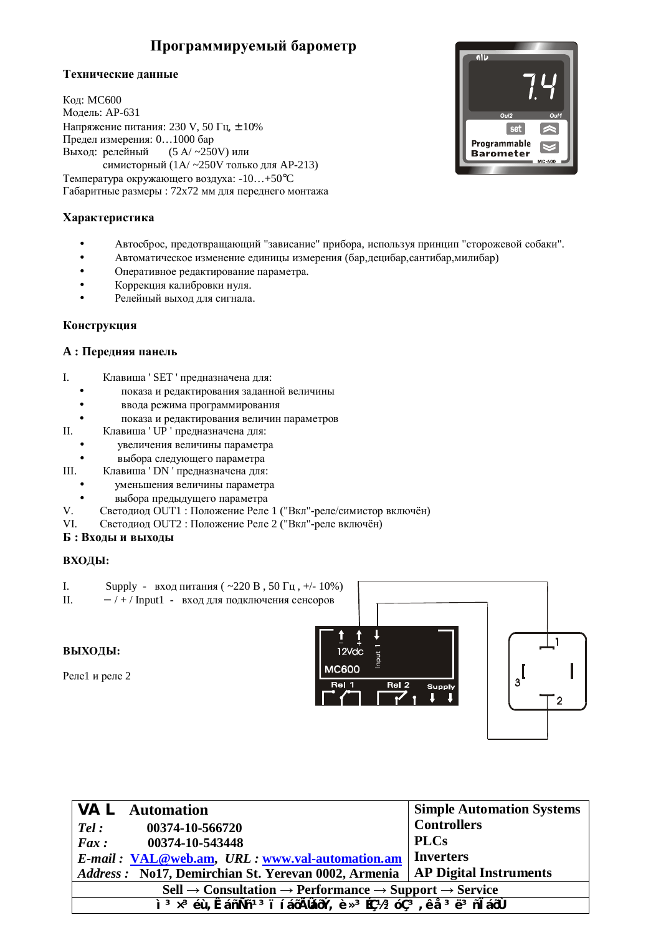# Программируемый барометр

## Технические данные

**Кол: MC600** Модель: АР-631 Напряжение питания: 230 V, 50 Гц, ± 10% Предел измерения: 0...1000 бар Выход: релейный  $(5 \text{ A} / -250 \text{ V})$  или симисторный (1А/ ~250V только для AP-213) Температура окружающего воздуха: -10...+50°С Габаритные размеры : 72х72 мм для переднего монтажа

# **Xарактеристика**

- Автосброс, предотвращающий "зависание" прибора, используя принцип "сторожевой собаки".
- Автоматическое изменение единицы измерения (бар, децибар, сантибар, милибар)
- Оперативное редактирование параметра.
- Коррекция калибровки нуля.
- Релейный выход для сигнала.

## Конструкция

## $A:$  Передняя панель

- I. Клавиша ' SET ' предназначена для:
	- показа и редактирования заданной величины
	- ввода режима программирования
	- показа и редактирования величин параметров
- II. Клавиша ' UP ' предназначена для:
	- увеличения величины параметра
	- выбора следующего параметра
- III. Клавиша ' DN ' предназначена для:
	- уменьшения величины параметра
	- выбора предыдущего параметра
- V. Светодиод OUT1 : Положение Реле 1 ("Вкл"-реле/симистор включён)
- VI. Светодиод ОUT2 : Положение Реле 2 ("Вкл"-реле включён)

## $\bf{B}$  : Входы и выходы

#### **ВХОДЫ:**

- I. Supply вход питания (  $\sim$  220 B, 50  $\Gamma$ ц, +/- 10%)
- II. / + / Input1 вход для подключения сенсоров

## **ВЫХОДЫ:**

Реле1 и реле 2



| <b>VAL</b> Automation                                                                                                                                                                                                                                                         | <b>Simple Automation Systems</b> |  |
|-------------------------------------------------------------------------------------------------------------------------------------------------------------------------------------------------------------------------------------------------------------------------------|----------------------------------|--|
| 00374-10-566720<br>Tel:                                                                                                                                                                                                                                                       | <b>Controllers</b>               |  |
| 00374-10-543448<br>$Fax$ :                                                                                                                                                                                                                                                    | <b>PLCs</b>                      |  |
| E-mail: VAL@web.am, URL: www.val-automation.am                                                                                                                                                                                                                                | Inverters                        |  |
| Address: No17, Demirchian St. Yerevan 0002, Armenia                                                                                                                                                                                                                           | <b>AP Digital Instruments</b>    |  |
| $\text{Cell} \rightarrow \text{Consultation} \rightarrow \text{Performance} \rightarrow \text{Support} \rightarrow \text{Service}$                                                                                                                                            |                                  |  |
| $\frac{1}{2}$ $\frac{3}{2}$ $\times$ 3 $\acute{e}$ $\dot{\theta}$ , $\hat{E}$ anÑn <sup>13</sup> i í á $\ddot{\theta}$ Ñlá $\ddot{\theta}$ Ý, è » 3 $\acute{e}$ $\ddot{\theta}$ $\dot{\theta}$ $\ddot{\theta}$ , ê å $\ddot{\theta}$ ë $\ddot{\theta}$ ni á $\ddot{\theta}$ Ù |                                  |  |